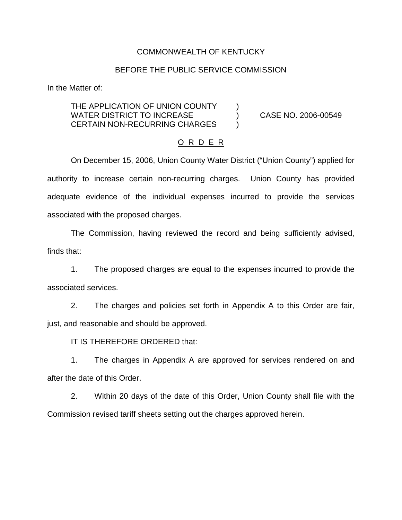## COMMONWEALTH OF KENTUCKY

## BEFORE THE PUBLIC SERVICE COMMISSION

In the Matter of:

THE APPLICATION OF UNION COUNTY (1) WATER DISTRICT TO INCREASE  $(2006-00549)$ CERTAIN NON-RECURRING CHARGES  $\qquad$ 

#### O R D E R

On December 15, 2006, Union County Water District ("Union County") applied for authority to increase certain non-recurring charges. Union County has provided adequate evidence of the individual expenses incurred to provide the services associated with the proposed charges.

The Commission, having reviewed the record and being sufficiently advised, finds that:

1. The proposed charges are equal to the expenses incurred to provide the associated services.

2. The charges and policies set forth in Appendix A to this Order are fair, just, and reasonable and should be approved.

IT IS THEREFORE ORDERED that:

1. The charges in Appendix A are approved for services rendered on and after the date of this Order.

2. Within 20 days of the date of this Order, Union County shall file with the Commission revised tariff sheets setting out the charges approved herein.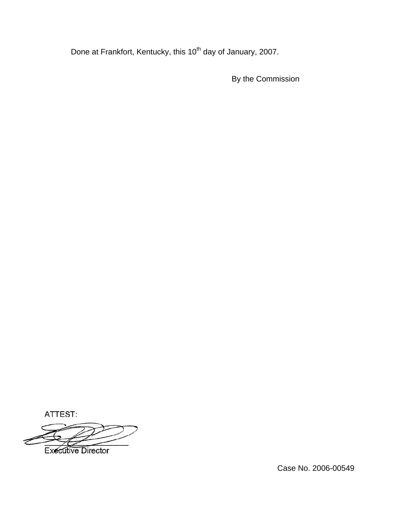Done at Frankfort, Kentucky, this 10<sup>th</sup> day of January, 2007.

By the Commission

ATTEST:

**Executive Director** 

Case No. 2006-00549